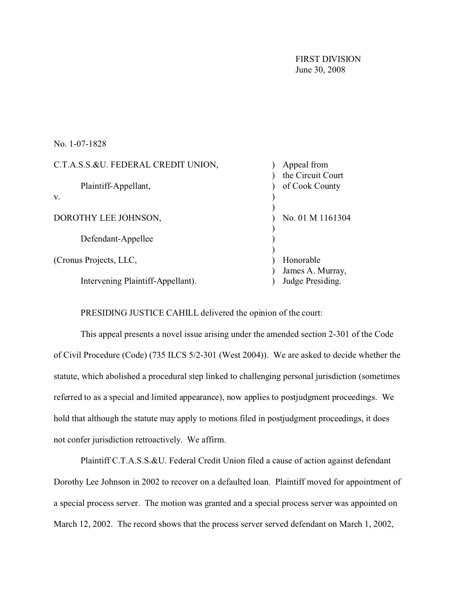FIRST DIVISION June 30, 2008

No. 1-07-1828

| C.T.A.S.S.&U. FEDERAL CREDIT UNION, | Appeal from                         |
|-------------------------------------|-------------------------------------|
| Plaintiff-Appellant,                | the Circuit Court<br>of Cook County |
| V.                                  |                                     |
| DOROTHY LEE JOHNSON,                | No. 01 M 1161304                    |
| Defendant-Appellee                  |                                     |
| (Cronus Projects, LLC,              | Honorable<br>James A. Murray,       |
| Intervening Plaintiff-Appellant).   | Judge Presiding.                    |

PRESIDING JUSTICE CAHILL delivered the opinion of the court:

This appeal presents a novel issue arising under the amended section 2-301 of the Code of Civil Procedure (Code) (735 ILCS 5/2-301 (West 2004)). We are asked to decide whether the statute, which abolished a procedural step linked to challenging personal jurisdiction (sometimes referred to as a special and limited appearance), now applies to postjudgment proceedings. We hold that although the statute may apply to motions filed in postjudgment proceedings, it does not confer jurisdiction retroactively. We affirm.

Plaintiff C.T.A.S.S.&U. Federal Credit Union filed a cause of action against defendant Dorothy Lee Johnson in 2002 to recover on a defaulted loan. Plaintiff moved for appointment of a special process server. The motion was granted and a special process server was appointed on March 12, 2002. The record shows that the process server served defendant on March 1, 2002,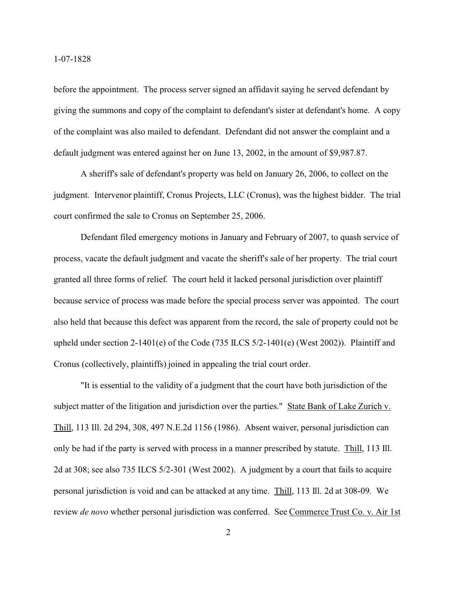before the appointment. The process server signed an affidavit saying he served defendant by giving the summons and copy of the complaint to defendant's sister at defendant's home. A copy of the complaint was also mailed to defendant. Defendant did not answer the complaint and a default judgment was entered against her on June 13, 2002, in the amount of \$9,987.87.

A sheriff's sale of defendant's property was held on January 26, 2006, to collect on the judgment. Intervenor plaintiff, Cronus Projects, LLC (Cronus), was the highest bidder. The trial court confirmed the sale to Cronus on September 25, 2006.

Defendant filed emergency motions in January and February of 2007, to quash service of process, vacate the default judgment and vacate the sheriff's sale of her property. The trial court granted all three forms of relief. The court held it lacked personal jurisdiction over plaintiff because service of process was made before the special process server was appointed. The court also held that because this defect was apparent from the record, the sale of property could not be upheld under section 2-1401(e) of the Code (735 ILCS  $5/2$ -1401(e) (West 2002)). Plaintiff and Cronus (collectively, plaintiffs) joined in appealing the trial court order.

"It is essential to the validity of a judgment that the court have both jurisdiction of the subject matter of the litigation and jurisdiction over the parties." State Bank of Lake Zurich v. Thill, 113 Ill. 2d 294, 308, 497 N.E.2d 1156 (1986). Absent waiver, personal jurisdiction can only be had if the party is served with process in a manner prescribed by statute. Thill, 113 Ill. 2d at 308; see also 735 ILCS 5/2-301 (West 2002). A judgment by a court that fails to acquire personal jurisdiction is void and can be attacked at any time. Thill, 113 Ill. 2d at 308-09. We review *de novo* whether personal jurisdiction was conferred. See Commerce Trust Co. v. Air 1st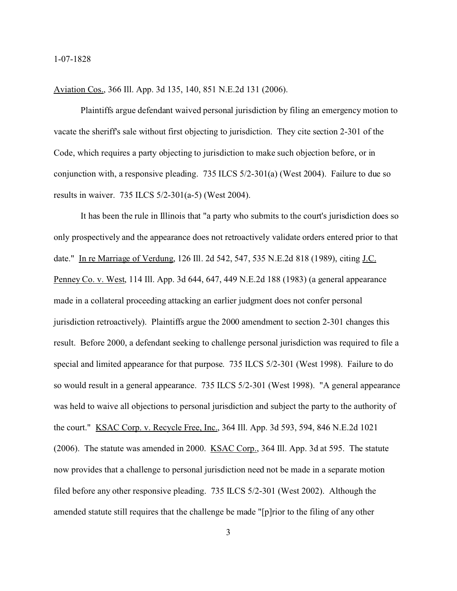## Aviation Cos., 366 Ill. App. 3d 135, 140, 851 N.E.2d 131 (2006).

Plaintiffs argue defendant waived personal jurisdiction by filing an emergency motion to vacate the sheriff's sale without first objecting to jurisdiction. They cite section 2-301 of the Code, which requires a party objecting to jurisdiction to make such objection before, or in conjunction with, a responsive pleading. 735 ILCS 5/2-301(a) (West 2004). Failure to due so results in waiver. 735 ILCS 5/2-301(a-5) (West 2004).

It has been the rule in Illinois that "a party who submits to the court's jurisdiction does so only prospectively and the appearance does not retroactively validate orders entered prior to that date." In re Marriage of Verdung, 126 Ill. 2d 542, 547, 535 N.E.2d 818 (1989), citing J.C. Penney Co. v. West, 114 Ill. App. 3d 644, 647, 449 N.E.2d 188 (1983) (a general appearance made in a collateral proceeding attacking an earlier judgment does not confer personal jurisdiction retroactively). Plaintiffs argue the 2000 amendment to section 2-301 changes this result. Before 2000, a defendant seeking to challenge personal jurisdiction was required to file a special and limited appearance for that purpose. 735 ILCS 5/2-301 (West 1998). Failure to do so would result in a general appearance. 735 ILCS 5/2-301 (West 1998). "A general appearance was held to waive all objections to personal jurisdiction and subject the party to the authority of the court." KSAC Corp. v. Recycle Free, Inc., 364 Ill. App. 3d 593, 594, 846 N.E.2d 1021 (2006). The statute was amended in 2000. KSAC Corp., 364 Ill. App. 3d at 595. The statute now provides that a challenge to personal jurisdiction need not be made in a separate motion filed before any other responsive pleading. 735 ILCS 5/2-301 (West 2002). Although the amended statute still requires that the challenge be made "[p]rior to the filing of any other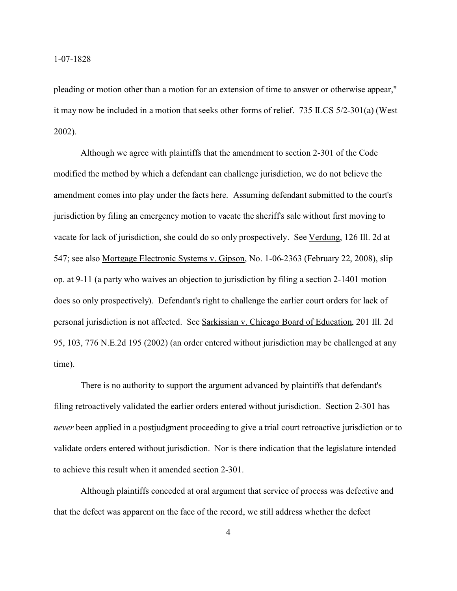pleading or motion other than a motion for an extension of time to answer or otherwise appear," it may now be included in a motion that seeks other forms of relief. 735 ILCS 5/2-301(a) (West 2002).

Although we agree with plaintiffs that the amendment to section 2-301 of the Code modified the method by which a defendant can challenge jurisdiction, we do not believe the amendment comes into play under the facts here. Assuming defendant submitted to the court's jurisdiction by filing an emergency motion to vacate the sheriff's sale without first moving to vacate for lack of jurisdiction, she could do so only prospectively. See Verdung, 126 Ill. 2d at 547; see also Mortgage Electronic Systems v. Gipson, No. 1-06-2363 (February 22, 2008), slip op. at 9-11 (a party who waives an objection to jurisdiction by filing a section 2-1401 motion does so only prospectively). Defendant's right to challenge the earlier court orders for lack of personal jurisdiction is not affected. See Sarkissian v. Chicago Board of Education, 201 Ill. 2d 95, 103, 776 N.E.2d 195 (2002) (an order entered without jurisdiction may be challenged at any time).

There is no authority to support the argument advanced by plaintiffs that defendant's filing retroactively validated the earlier orders entered without jurisdiction. Section 2-301 has *never* been applied in a postjudgment proceeding to give a trial court retroactive jurisdiction or to validate orders entered without jurisdiction. Nor is there indication that the legislature intended to achieve this result when it amended section 2-301.

Although plaintiffs conceded at oral argument that service of process was defective and that the defect was apparent on the face of the record, we still address whether the defect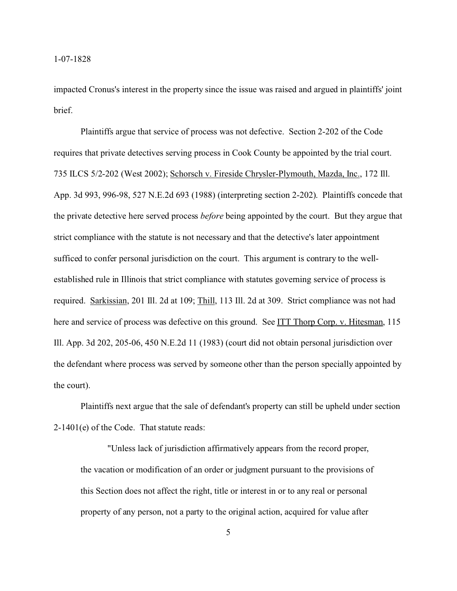impacted Cronus's interest in the property since the issue was raised and argued in plaintiffs' joint brief.

Plaintiffs argue that service of process was not defective. Section 2-202 of the Code requires that private detectives serving process in Cook County be appointed by the trial court. 735 ILCS 5/2-202 (West 2002); Schorsch v. Fireside Chrysler-Plymouth, Mazda, Inc., 172 Ill. App. 3d 993, 996-98, 527 N.E.2d 693 (1988) (interpreting section 2-202). Plaintiffs concede that the private detective here served process *before* being appointed by the court. But they argue that strict compliance with the statute is not necessary and that the detective's later appointment sufficed to confer personal jurisdiction on the court. This argument is contrary to the wellestablished rule in Illinois that strict compliance with statutes governing service of process is required. Sarkissian, 201 Ill. 2d at 109; Thill, 113 Ill. 2d at 309. Strict compliance was not had here and service of process was defective on this ground. See ITT Thorp Corp. v. Hitesman, 115 Ill. App. 3d 202, 205-06, 450 N.E.2d 11 (1983) (court did not obtain personal jurisdiction over the defendant where process was served by someone other than the person specially appointed by the court).

Plaintiffs next argue that the sale of defendant's property can still be upheld under section 2-1401(e) of the Code. That statute reads:

"Unless lack of jurisdiction affirmatively appears from the record proper, the vacation or modification of an order or judgment pursuant to the provisions of this Section does not affect the right, title or interest in or to any real or personal property of any person, not a party to the original action, acquired for value after